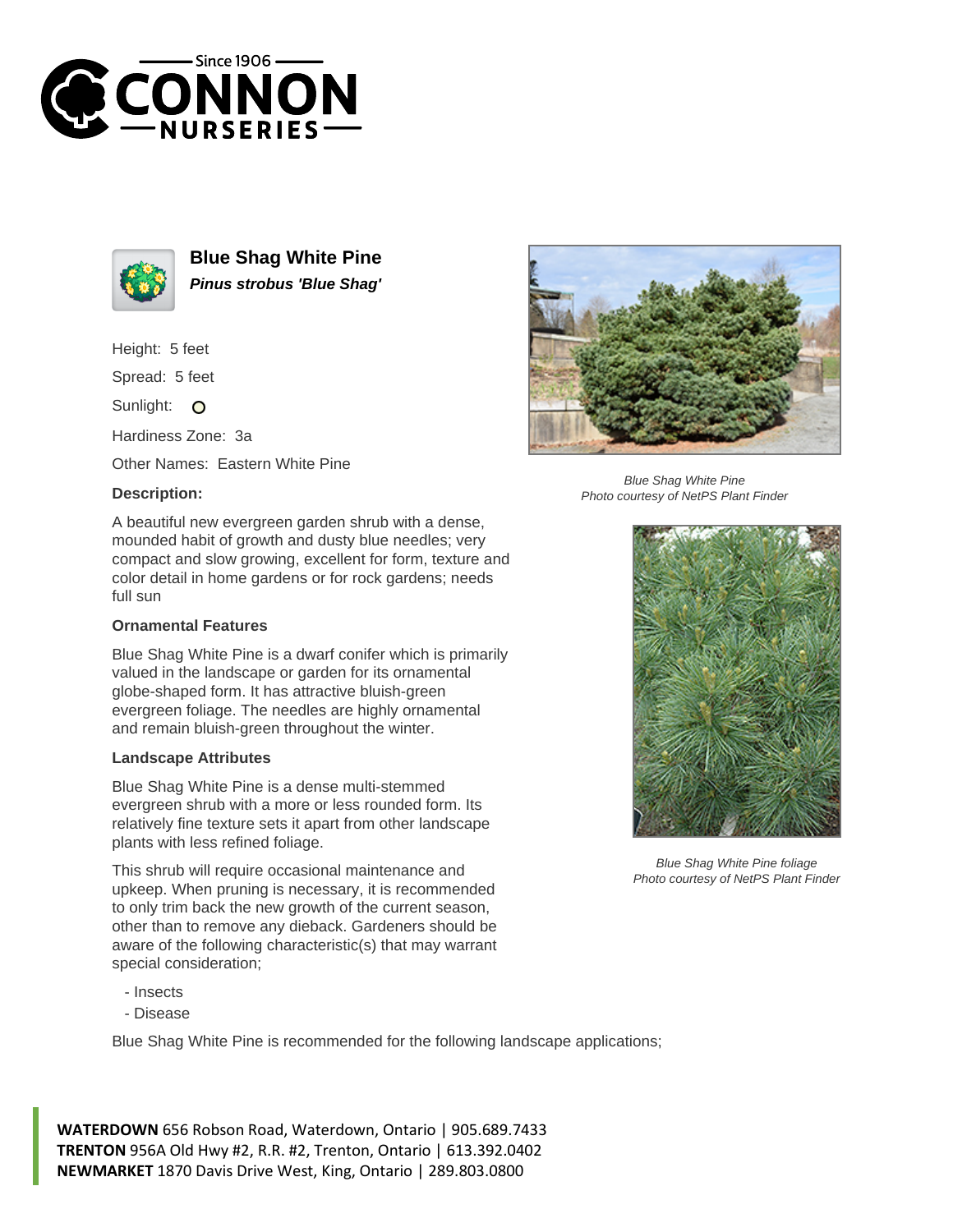



**Blue Shag White Pine Pinus strobus 'Blue Shag'**

Height: 5 feet

Spread: 5 feet

Sunlight: O

Hardiness Zone: 3a

Other Names: Eastern White Pine

## **Description:**



## **Ornamental Features**

Blue Shag White Pine is a dwarf conifer which is primarily valued in the landscape or garden for its ornamental globe-shaped form. It has attractive bluish-green evergreen foliage. The needles are highly ornamental and remain bluish-green throughout the winter.

## **Landscape Attributes**

Blue Shag White Pine is a dense multi-stemmed evergreen shrub with a more or less rounded form. Its relatively fine texture sets it apart from other landscape plants with less refined foliage.

This shrub will require occasional maintenance and upkeep. When pruning is necessary, it is recommended to only trim back the new growth of the current season, other than to remove any dieback. Gardeners should be aware of the following characteristic(s) that may warrant special consideration;

- Insects
- Disease

Blue Shag White Pine is recommended for the following landscape applications;



Blue Shag White Pine Photo courtesy of NetPS Plant Finder



Blue Shag White Pine foliage Photo courtesy of NetPS Plant Finder

**WATERDOWN** 656 Robson Road, Waterdown, Ontario | 905.689.7433 **TRENTON** 956A Old Hwy #2, R.R. #2, Trenton, Ontario | 613.392.0402 **NEWMARKET** 1870 Davis Drive West, King, Ontario | 289.803.0800